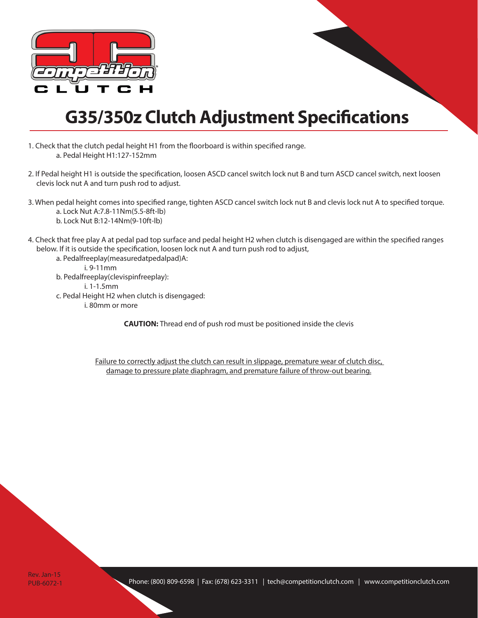

## **G35/350z Clutch Adjustment Specifications**

- 1. Check that the clutch pedal height H1 from the floorboard is within specified range. a. Pedal Height H1:127-152mm
- 2. If Pedal height H1 is outside the specification, loosen ASCD cancel switch lock nut B and turn ASCD cancel switch, next loosen clevis lock nut A and turn push rod to adjust.
- 3. When pedal height comes into specified range, tighten ASCD cancel switch lock nut B and clevis lock nut A to specified torque. a. Lock Nut A:7.8-11Nm(5.5-8ft-lb) b. Lock Nut B:12-14Nm(9-10ft-lb)
- 4. Check that free play A at pedal pad top surface and pedal height H2 when clutch is disengaged are within the specified ranges below. If it is outside the specification, loosen lock nut A and turn push rod to adjust,
	- a. Pedalfreeplay(measuredatpedalpad)A: i. 9-11mm b. Pedalfreeplay(clevispinfreeplay): i. 1-1.5mm c. Pedal Height H2 when clutch is disengaged: i. 80mm or more

**CAUTION:** Thread end of push rod must be positioned inside the clevis

Failure to correctly adjust the clutch can result in slippage, premature wear of clutch disc, damage to pressure plate diaphragm, and premature failure of throw-out bearing.

Rev. Jan-15 PUB-6072-1